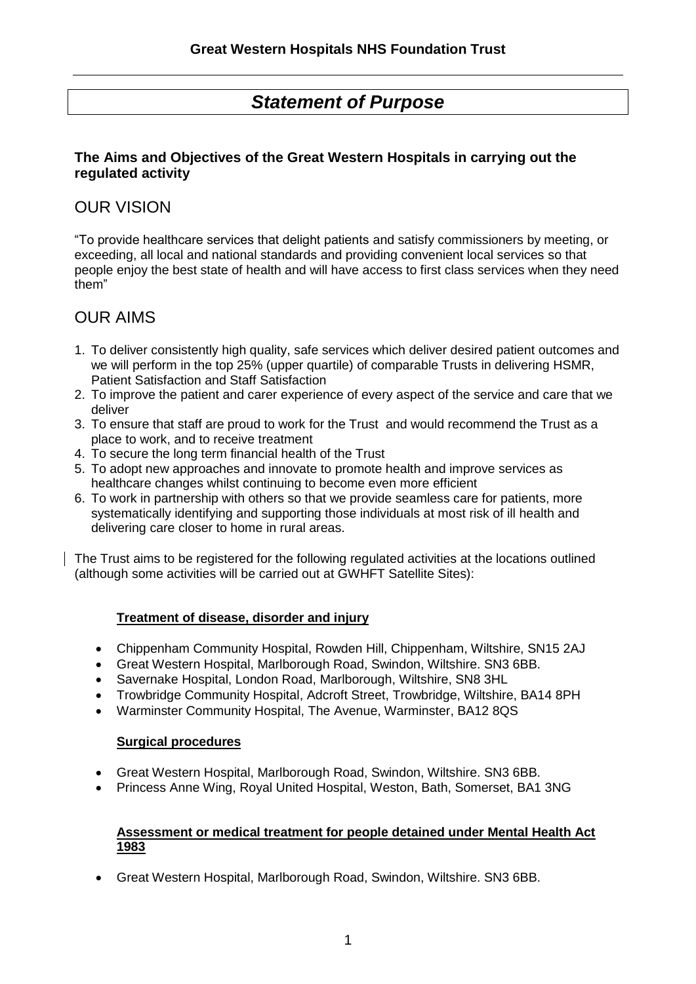# *Statement of Purpose*

## **The Aims and Objectives of the Great Western Hospitals in carrying out the regulated activity**

## OUR VISION

"To provide healthcare services that delight patients and satisfy commissioners by meeting, or exceeding, all local and national standards and providing convenient local services so that people enjoy the best state of health and will have access to first class services when they need them"

## OUR AIMS

- 1. To deliver consistently high quality, safe services which deliver desired patient outcomes and we will perform in the top 25% (upper quartile) of comparable Trusts in delivering HSMR, Patient Satisfaction and Staff Satisfaction
- 2. To improve the patient and carer experience of every aspect of the service and care that we deliver
- 3. To ensure that staff are proud to work for the Trust and would recommend the Trust as a place to work, and to receive treatment
- 4. To secure the long term financial health of the Trust
- 5. To adopt new approaches and innovate to promote health and improve services as healthcare changes whilst continuing to become even more efficient
- 6. To work in partnership with others so that we provide seamless care for patients, more systematically identifying and supporting those individuals at most risk of ill health and delivering care closer to home in rural areas.

The Trust aims to be registered for the following regulated activities at the locations outlined (although some activities will be carried out at GWHFT Satellite Sites):

## **Treatment of disease, disorder and injury**

- Chippenham Community Hospital, Rowden Hill, Chippenham, Wiltshire, SN15 2AJ
- Great Western Hospital, Marlborough Road, Swindon, Wiltshire. SN3 6BB.
- Savernake Hospital, London Road, Marlborough, Wiltshire, SN8 3HL
- Trowbridge Community Hospital, Adcroft Street, Trowbridge, Wiltshire, BA14 8PH
- Warminster Community Hospital, The Avenue, Warminster, BA12 8QS

#### **Surgical procedures**

- Great Western Hospital, Marlborough Road, Swindon, Wiltshire. SN3 6BB.
- Princess Anne Wing, Royal United Hospital, Weston, Bath, Somerset, BA1 3NG

#### **Assessment or medical treatment for people detained under Mental Health Act 1983**

Great Western Hospital, Marlborough Road, Swindon, Wiltshire. SN3 6BB.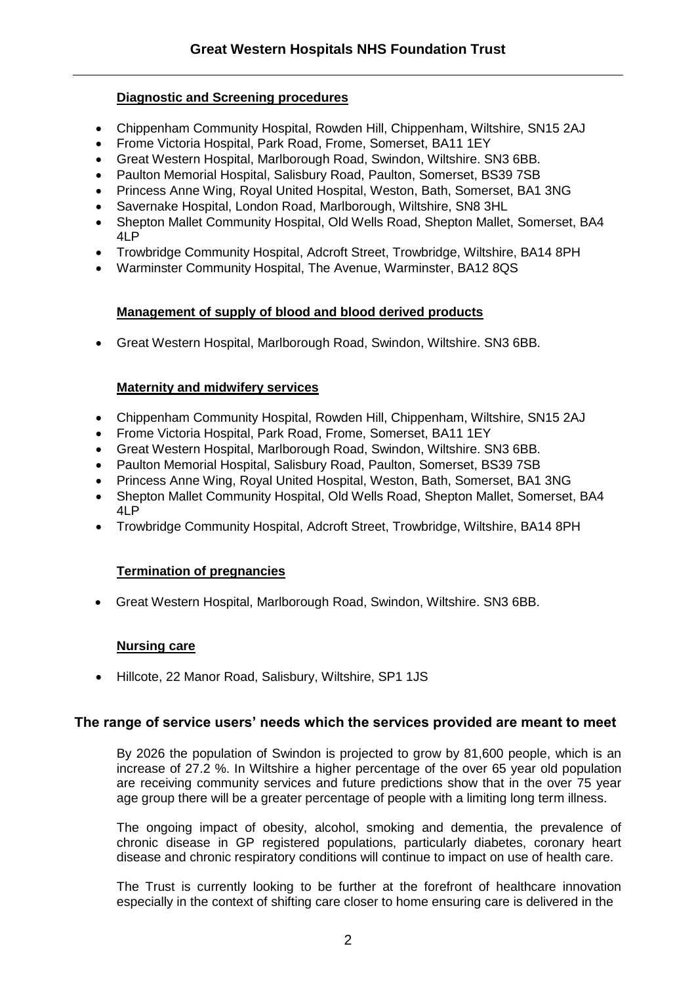#### **Diagnostic and Screening procedures**

- Chippenham Community Hospital, Rowden Hill, Chippenham, Wiltshire, SN15 2AJ
- Frome Victoria Hospital, Park Road, Frome, Somerset, BA11 1EY
- Great Western Hospital, Marlborough Road, Swindon, Wiltshire. SN3 6BB.
- Paulton Memorial Hospital, Salisbury Road, Paulton, Somerset, BS39 7SB
- Princess Anne Wing, Royal United Hospital, Weston, Bath, Somerset, BA1 3NG
- Savernake Hospital, London Road, Marlborough, Wiltshire, SN8 3HL
- Shepton Mallet Community Hospital, Old Wells Road, Shepton Mallet, Somerset, BA4 4LP
- Trowbridge Community Hospital, Adcroft Street, Trowbridge, Wiltshire, BA14 8PH
- Warminster Community Hospital, The Avenue, Warminster, BA12 8QS

#### **Management of supply of blood and blood derived products**

Great Western Hospital, Marlborough Road, Swindon, Wiltshire. SN3 6BB.

#### **Maternity and midwifery services**

- Chippenham Community Hospital, Rowden Hill, Chippenham, Wiltshire, SN15 2AJ
- Frome Victoria Hospital, Park Road, Frome, Somerset, BA11 1EY
- Great Western Hospital, Marlborough Road, Swindon, Wiltshire. SN3 6BB.
- Paulton Memorial Hospital, Salisbury Road, Paulton, Somerset, BS39 7SB
- Princess Anne Wing, Royal United Hospital, Weston, Bath, Somerset, BA1 3NG
- Shepton Mallet Community Hospital, Old Wells Road, Shepton Mallet, Somerset, BA4 4LP
- Trowbridge Community Hospital, Adcroft Street, Trowbridge, Wiltshire, BA14 8PH

## **Termination of pregnancies**

Great Western Hospital, Marlborough Road, Swindon, Wiltshire. SN3 6BB.

#### **Nursing care**

• Hillcote, 22 Manor Road, Salisbury, Wiltshire, SP1 1JS

## **The range of service users' needs which the services provided are meant to meet**

By 2026 the population of Swindon is projected to grow by 81,600 people, which is an increase of 27.2 %. In Wiltshire a higher percentage of the over 65 year old population are receiving community services and future predictions show that in the over 75 year age group there will be a greater percentage of people with a limiting long term illness.

The ongoing impact of obesity, alcohol, smoking and dementia, the prevalence of chronic disease in GP registered populations, particularly diabetes, coronary heart disease and chronic respiratory conditions will continue to impact on use of health care.

The Trust is currently looking to be further at the forefront of healthcare innovation especially in the context of shifting care closer to home ensuring care is delivered in the